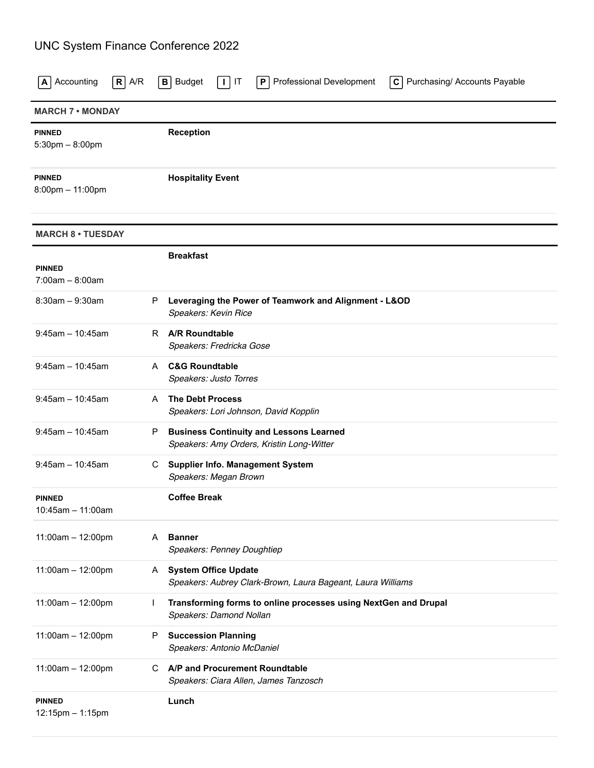## UNC System Finance Conference 2022

| $R$ A/R<br>Accounting<br>A             |    | $C$ Purchasing/ Accounts Payable<br><b>Budget</b><br>Professional Development<br>$\mathbf{B}$<br>IT<br>$\perp$<br>P |  |  |  |  |
|----------------------------------------|----|---------------------------------------------------------------------------------------------------------------------|--|--|--|--|
| <b>MARCH 7 • MONDAY</b>                |    |                                                                                                                     |  |  |  |  |
| <b>PINNED</b><br>$5:30$ pm $- 8:00$ pm |    | <b>Reception</b>                                                                                                    |  |  |  |  |
| <b>PINNED</b><br>8:00pm - 11:00pm      |    | <b>Hospitality Event</b>                                                                                            |  |  |  |  |
| <b>MARCH 8 • TUESDAY</b>               |    |                                                                                                                     |  |  |  |  |
| <b>PINNED</b><br>$7:00am - 8:00am$     |    | <b>Breakfast</b>                                                                                                    |  |  |  |  |
| $8:30am - 9:30am$                      | P  | Leveraging the Power of Teamwork and Alignment - L&OD<br>Speakers: Kevin Rice                                       |  |  |  |  |
| $9:45$ am - 10:45am                    | R. | <b>A/R Roundtable</b><br>Speakers: Fredricka Gose                                                                   |  |  |  |  |
| $9:45$ am - 10:45am                    | A  | <b>C&amp;G Roundtable</b><br>Speakers: Justo Torres                                                                 |  |  |  |  |
| $9:45$ am - 10:45am                    | A  | <b>The Debt Process</b><br>Speakers: Lori Johnson, David Kopplin                                                    |  |  |  |  |
| $9:45$ am - 10:45am                    | P  | <b>Business Continuity and Lessons Learned</b><br>Speakers: Amy Orders, Kristin Long-Witter                         |  |  |  |  |
| $9:45am - 10:45am$                     | C. | <b>Supplier Info. Management System</b><br>Speakers: Megan Brown                                                    |  |  |  |  |
| <b>PINNED</b><br>10:45am - 11:00am     |    | <b>Coffee Break</b>                                                                                                 |  |  |  |  |
| 11:00am - 12:00pm                      | A  | <b>Banner</b><br>Speakers: Penney Doughtiep                                                                         |  |  |  |  |
| 11:00am - 12:00pm                      | A. | <b>System Office Update</b><br>Speakers: Aubrey Clark-Brown, Laura Bageant, Laura Williams                          |  |  |  |  |
| 11:00am - 12:00pm                      | T  | Transforming forms to online processes using NextGen and Drupal<br>Speakers: Damond Nollan                          |  |  |  |  |
| 11:00am - 12:00pm                      | P  | <b>Succession Planning</b><br>Speakers: Antonio McDaniel                                                            |  |  |  |  |
| 11:00am - 12:00pm                      | C. | A/P and Procurement Roundtable<br>Speakers: Ciara Allen, James Tanzosch                                             |  |  |  |  |
| <b>PINNED</b><br>12:15pm - 1:15pm      |    | Lunch                                                                                                               |  |  |  |  |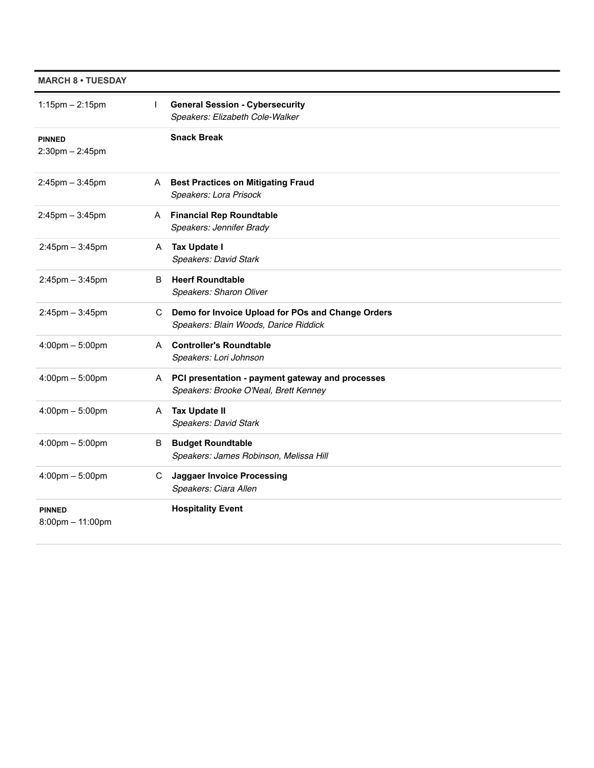| <b>MARCH 8 • TUESDAY</b>               |              |                                                                                             |
|----------------------------------------|--------------|---------------------------------------------------------------------------------------------|
| $1:15$ pm $- 2:15$ pm                  | $\mathsf{I}$ | <b>General Session - Cybersecurity</b><br>Speakers: Elizabeth Cole-Walker                   |
| <b>PINNED</b><br>$2:30$ pm $- 2:45$ pm |              | <b>Snack Break</b>                                                                          |
| $2:45$ pm $-3:45$ pm                   | A            | <b>Best Practices on Mitigating Fraud</b><br>Speakers: Lora Prisock                         |
| $2:45$ pm $-3:45$ pm                   |              | A Financial Rep Roundtable<br>Speakers: Jennifer Brady                                      |
| $2:45$ pm $-3:45$ pm                   |              | A Tax Update I<br><b>Speakers: David Stark</b>                                              |
| $2:45$ pm $-3:45$ pm                   | B.           | <b>Heerf Roundtable</b><br>Speakers: Sharon Oliver                                          |
| $2:45$ pm $-3:45$ pm                   | C.           | Demo for Invoice Upload for POs and Change Orders<br>Speakers: Blain Woods, Darice Riddick  |
| $4:00 \text{pm} - 5:00 \text{pm}$      |              | A Controller's Roundtable<br>Speakers: Lori Johnson                                         |
| $4:00 \text{pm} - 5:00 \text{pm}$      |              | A PCI presentation - payment gateway and processes<br>Speakers: Brooke O'Neal, Brett Kenney |
| $4:00 \text{pm} - 5:00 \text{pm}$      |              | A Tax Update II<br>Speakers: David Stark                                                    |
| $4:00 \text{pm} - 5:00 \text{pm}$      | B            | <b>Budget Roundtable</b><br>Speakers: James Robinson, Melissa Hill                          |
| $4:00 \text{pm} - 5:00 \text{pm}$      | C.           | <b>Jaggaer Invoice Processing</b><br>Speakers: Ciara Allen                                  |
| <b>PINNED</b><br>8:00pm - 11:00pm      |              | <b>Hospitality Event</b>                                                                    |